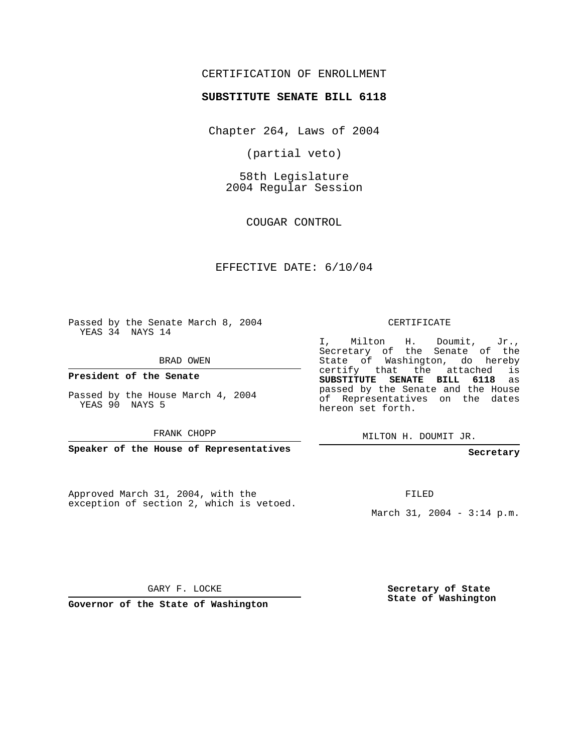## CERTIFICATION OF ENROLLMENT

### **SUBSTITUTE SENATE BILL 6118**

Chapter 264, Laws of 2004

(partial veto)

58th Legislature 2004 Regular Session

COUGAR CONTROL

## EFFECTIVE DATE: 6/10/04

Passed by the Senate March 8, 2004 YEAS 34 NAYS 14

BRAD OWEN

**President of the Senate**

Passed by the House March 4, 2004 YEAS 90 NAYS 5

FRANK CHOPP

**Speaker of the House of Representatives**

Approved March 31, 2004, with the exception of section 2, which is vetoed.

#### CERTIFICATE

I, Milton H. Doumit, Jr., Secretary of the Senate of the State of Washington, do hereby certify that the attached is **SUBSTITUTE SENATE BILL 6118** as passed by the Senate and the House of Representatives on the dates hereon set forth.

MILTON H. DOUMIT JR.

## **Secretary**

FILED

March 31, 2004 - 3:14 p.m.

GARY F. LOCKE

**Governor of the State of Washington**

**Secretary of State State of Washington**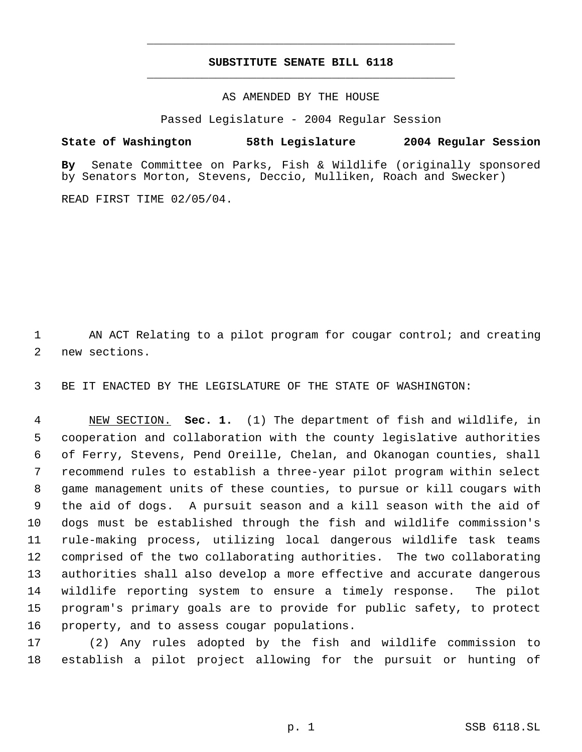# **SUBSTITUTE SENATE BILL 6118** \_\_\_\_\_\_\_\_\_\_\_\_\_\_\_\_\_\_\_\_\_\_\_\_\_\_\_\_\_\_\_\_\_\_\_\_\_\_\_\_\_\_\_\_\_

\_\_\_\_\_\_\_\_\_\_\_\_\_\_\_\_\_\_\_\_\_\_\_\_\_\_\_\_\_\_\_\_\_\_\_\_\_\_\_\_\_\_\_\_\_

AS AMENDED BY THE HOUSE

Passed Legislature - 2004 Regular Session

**State of Washington 58th Legislature 2004 Regular Session**

**By** Senate Committee on Parks, Fish & Wildlife (originally sponsored by Senators Morton, Stevens, Deccio, Mulliken, Roach and Swecker)

READ FIRST TIME 02/05/04.

1 AN ACT Relating to a pilot program for cougar control; and creating new sections.

BE IT ENACTED BY THE LEGISLATURE OF THE STATE OF WASHINGTON:

 NEW SECTION. **Sec. 1.** (1) The department of fish and wildlife, in cooperation and collaboration with the county legislative authorities of Ferry, Stevens, Pend Oreille, Chelan, and Okanogan counties, shall recommend rules to establish a three-year pilot program within select game management units of these counties, to pursue or kill cougars with the aid of dogs. A pursuit season and a kill season with the aid of dogs must be established through the fish and wildlife commission's rule-making process, utilizing local dangerous wildlife task teams comprised of the two collaborating authorities. The two collaborating authorities shall also develop a more effective and accurate dangerous wildlife reporting system to ensure a timely response. The pilot program's primary goals are to provide for public safety, to protect property, and to assess cougar populations.

 (2) Any rules adopted by the fish and wildlife commission to establish a pilot project allowing for the pursuit or hunting of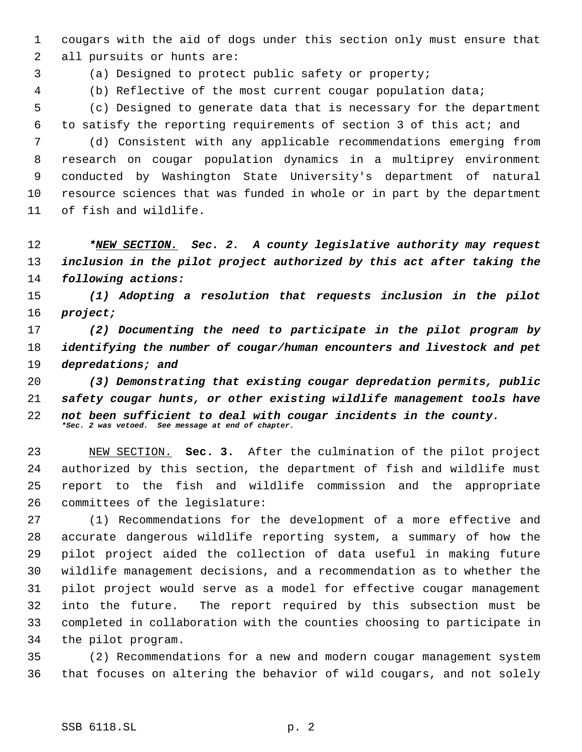cougars with the aid of dogs under this section only must ensure that all pursuits or hunts are:

(a) Designed to protect public safety or property;

(b) Reflective of the most current cougar population data;

 (c) Designed to generate data that is necessary for the department to satisfy the reporting requirements of section 3 of this act; and

 (d) Consistent with any applicable recommendations emerging from research on cougar population dynamics in a multiprey environment conducted by Washington State University's department of natural resource sciences that was funded in whole or in part by the department of fish and wildlife.

 *\*NEW SECTION. Sec. 2. A county legislative authority may request inclusion in the pilot project authorized by this act after taking the following actions:*

 *(1) Adopting a resolution that requests inclusion in the pilot project;*

 *(2) Documenting the need to participate in the pilot program by identifying the number of cougar/human encounters and livestock and pet depredations; and*

 *(3) Demonstrating that existing cougar depredation permits, public safety cougar hunts, or other existing wildlife management tools have not been sufficient to deal with cougar incidents in the county. \*Sec. 2 was vetoed. See message at end of chapter.*

 NEW SECTION. **Sec. 3.** After the culmination of the pilot project authorized by this section, the department of fish and wildlife must report to the fish and wildlife commission and the appropriate committees of the legislature:

 (1) Recommendations for the development of a more effective and accurate dangerous wildlife reporting system, a summary of how the pilot project aided the collection of data useful in making future wildlife management decisions, and a recommendation as to whether the pilot project would serve as a model for effective cougar management into the future. The report required by this subsection must be completed in collaboration with the counties choosing to participate in the pilot program.

 (2) Recommendations for a new and modern cougar management system that focuses on altering the behavior of wild cougars, and not solely